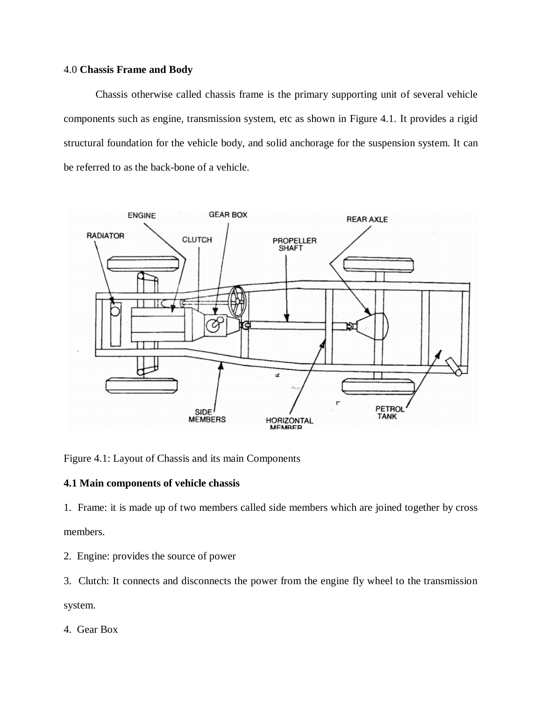### 4.0 **Chassis Frame and Body**

Chassis otherwise called chassis frame is the primary supporting unit of several vehicle components such as engine, transmission system, etc as shown in Figure 4.1. It provides a rigid structural foundation for the vehicle body, and solid anchorage for the suspension system. It can be referred to as the back-bone of a vehicle.



Figure 4.1: Layout of Chassis and its main Components

## **4.1 Main components of vehicle chassis**

1. Frame: it is made up of two members called side members which are joined together by cross members.

- 2. Engine: provides the source of power
- 3. Clutch: It connects and disconnects the power from the engine fly wheel to the transmission

system.

4. Gear Box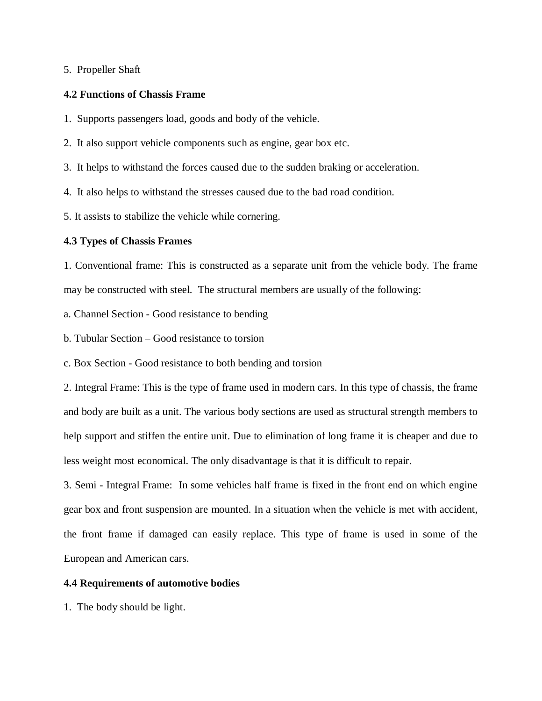### 5. Propeller Shaft

### **4.2 Functions of Chassis Frame**

1. Supports passengers load, goods and body of the vehicle.

2. It also support vehicle components such as engine, gear box etc.

3. It helps to withstand the forces caused due to the sudden braking or acceleration.

4. It also helps to withstand the stresses caused due to the bad road condition.

5. It assists to stabilize the vehicle while cornering.

#### **4.3 Types of Chassis Frames**

1. Conventional frame: This is constructed as a separate unit from the vehicle body. The frame may be constructed with steel. The structural members are usually of the following:

a. Channel Section - Good resistance to bending

b. Tubular Section – Good resistance to torsion

c. Box Section - Good resistance to both bending and torsion

2. Integral Frame: This is the type of frame used in modern cars. In this type of chassis, the frame and body are built as a unit. The various body sections are used as structural strength members to help support and stiffen the entire unit. Due to elimination of long frame it is cheaper and due to less weight most economical. The only disadvantage is that it is difficult to repair.

3. Semi - Integral Frame: In some vehicles half frame is fixed in the front end on which engine gear box and front suspension are mounted. In a situation when the vehicle is met with accident, the front frame if damaged can easily replace. This type of frame is used in some of the European and American cars.

## **4.4 Requirements of automotive bodies**

1. The body should be light.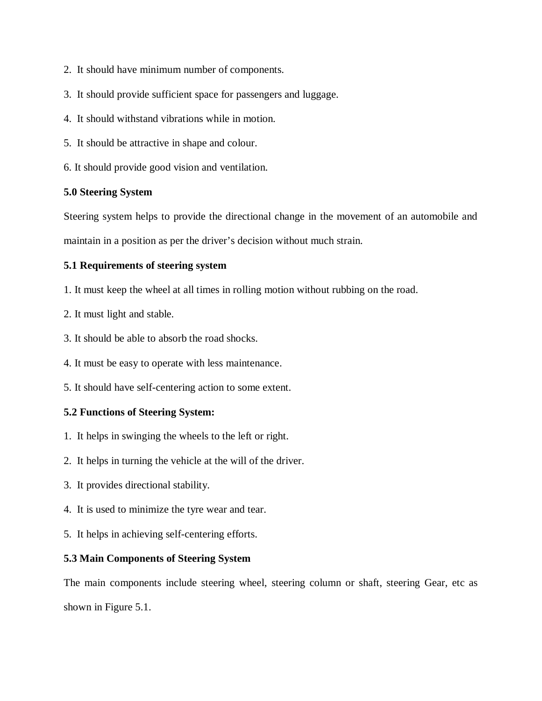- 2. It should have minimum number of components.
- 3. It should provide sufficient space for passengers and luggage.
- 4. It should withstand vibrations while in motion.
- 5. It should be attractive in shape and colour.
- 6. It should provide good vision and ventilation.

# **5.0 Steering System**

Steering system helps to provide the directional change in the movement of an automobile and maintain in a position as per the driver's decision without much strain.

# **5.1 Requirements of steering system**

- 1. It must keep the wheel at all times in rolling motion without rubbing on the road.
- 2. It must light and stable.
- 3. It should be able to absorb the road shocks.
- 4. It must be easy to operate with less maintenance.
- 5. It should have self-centering action to some extent.

# **5.2 Functions of Steering System:**

- 1. It helps in swinging the wheels to the left or right.
- 2. It helps in turning the vehicle at the will of the driver.
- 3. It provides directional stability.
- 4. It is used to minimize the tyre wear and tear.
- 5. It helps in achieving self-centering efforts.

## **5.3 Main Components of Steering System**

The main components include steering wheel, steering column or shaft, steering Gear, etc as shown in Figure 5.1.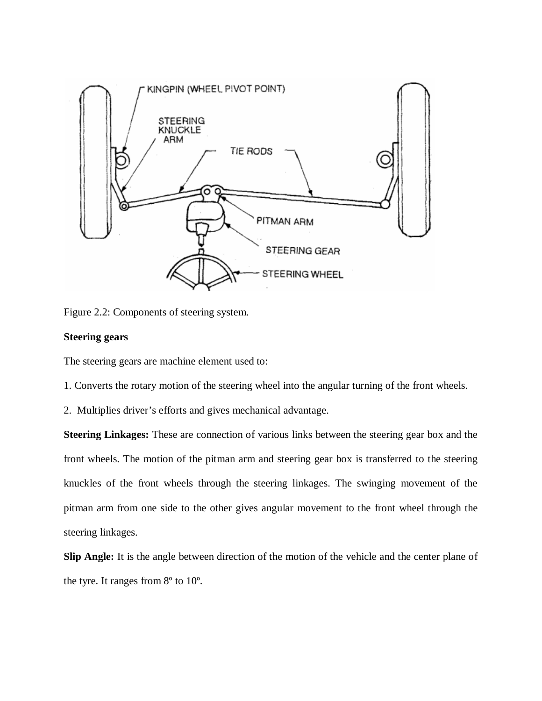

Figure 2.2: Components of steering system.

## **Steering gears**

The steering gears are machine element used to:

1. Converts the rotary motion of the steering wheel into the angular turning of the front wheels.

2. Multiplies driver's efforts and gives mechanical advantage.

**Steering Linkages:** These are connection of various links between the steering gear box and the front wheels. The motion of the pitman arm and steering gear box is transferred to the steering knuckles of the front wheels through the steering linkages. The swinging movement of the pitman arm from one side to the other gives angular movement to the front wheel through the steering linkages.

**Slip Angle:** It is the angle between direction of the motion of the vehicle and the center plane of the tyre. It ranges from 8º to 10º.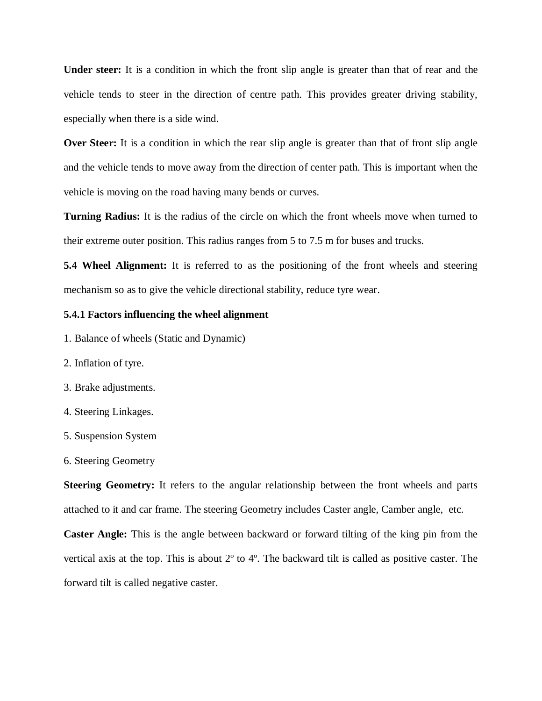**Under steer:** It is a condition in which the front slip angle is greater than that of rear and the vehicle tends to steer in the direction of centre path. This provides greater driving stability, especially when there is a side wind.

**Over Steer:** It is a condition in which the rear slip angle is greater than that of front slip angle and the vehicle tends to move away from the direction of center path. This is important when the vehicle is moving on the road having many bends or curves.

**Turning Radius:** It is the radius of the circle on which the front wheels move when turned to their extreme outer position. This radius ranges from 5 to 7.5 m for buses and trucks.

**5.4 Wheel Alignment:** It is referred to as the positioning of the front wheels and steering mechanism so as to give the vehicle directional stability, reduce tyre wear.

#### **5.4.1 Factors influencing the wheel alignment**

- 1. Balance of wheels (Static and Dynamic)
- 2. Inflation of tyre.
- 3. Brake adjustments.
- 4. Steering Linkages.
- 5. Suspension System
- 6. Steering Geometry

**Steering Geometry:** It refers to the angular relationship between the front wheels and parts attached to it and car frame. The steering Geometry includes Caster angle, Camber angle, etc.

**Caster Angle:** This is the angle between backward or forward tilting of the king pin from the vertical axis at the top. This is about 2º to 4º. The backward tilt is called as positive caster. The forward tilt is called negative caster.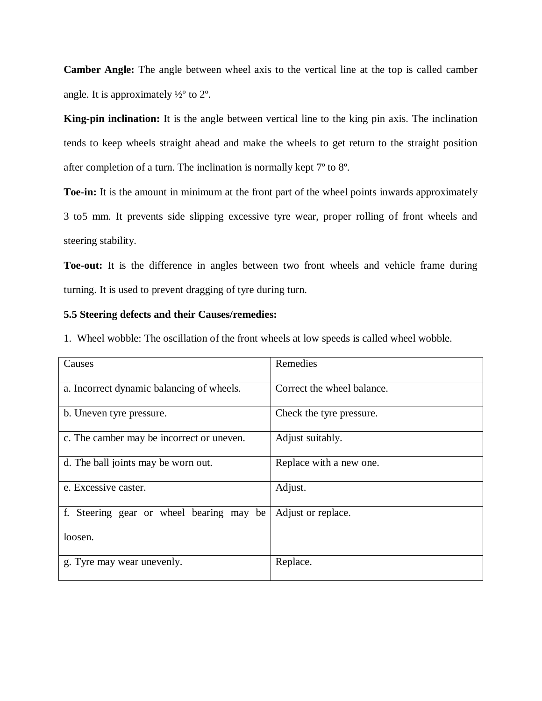**Camber Angle:** The angle between wheel axis to the vertical line at the top is called camber angle. It is approximately  $\frac{1}{2}$ ° to  $2^{\circ}$ .

**King-pin inclination:** It is the angle between vertical line to the king pin axis. The inclination tends to keep wheels straight ahead and make the wheels to get return to the straight position after completion of a turn. The inclination is normally kept 7º to 8º.

**Toe-in:** It is the amount in minimum at the front part of the wheel points inwards approximately 3 to5 mm. It prevents side slipping excessive tyre wear, proper rolling of front wheels and steering stability.

**Toe-out:** It is the difference in angles between two front wheels and vehicle frame during turning. It is used to prevent dragging of tyre during turn.

### **5.5 Steering defects and their Causes/remedies:**

1. Wheel wobble: The oscillation of the front wheels at low speeds is called wheel wobble.

| Causes                                    | Remedies                   |
|-------------------------------------------|----------------------------|
| a. Incorrect dynamic balancing of wheels. | Correct the wheel balance. |
| b. Uneven tyre pressure.                  | Check the tyre pressure.   |
| c. The camber may be incorrect or uneven. | Adjust suitably.           |
| d. The ball joints may be worn out.       | Replace with a new one.    |
| e. Excessive caster.                      | Adjust.                    |
| f. Steering gear or wheel bearing may be  | Adjust or replace.         |
| loosen.                                   |                            |
| g. Tyre may wear unevenly.                | Replace.                   |